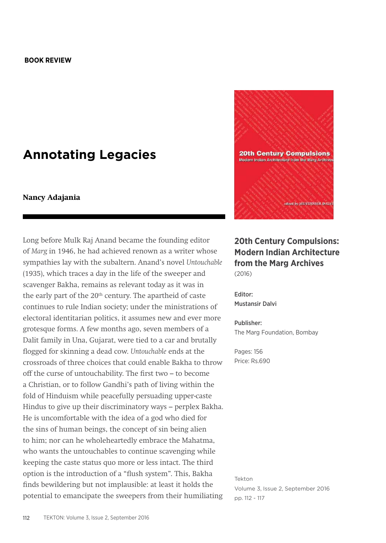## **Annotating Legacies**

## **Nancy Adajania**

Long before Mulk Raj Anand became the founding editor of *Marg* in 1946, he had achieved renown as a writer whose sympathies lay with the subaltern. Anand's novel *Untouchable* (1935), which traces a day in the life of the sweeper and scavenger Bakha, remains as relevant today as it was in the early part of the 20<sup>th</sup> century. The apartheid of caste continues to rule Indian society; under the ministrations of electoral identitarian politics, it assumes new and ever more grotesque forms. A few months ago, seven members of a Dalit family in Una, Gujarat, were tied to a car and brutally flogged for skinning a dead cow. *Untouchable* ends at the crossroads of three choices that could enable Bakha to throw off the curse of untouchability. The first two – to become a Christian, or to follow Gandhi's path of living within the fold of Hinduism while peacefully persuading upper-caste Hindus to give up their discriminatory ways – perplex Bakha. He is uncomfortable with the idea of a god who died for the sins of human beings, the concept of sin being alien to him; nor can he wholeheartedly embrace the Mahatma, who wants the untouchables to continue scavenging while keeping the caste status quo more or less intact. The third option is the introduction of a "flush system". This, Bakha finds bewildering but not implausible: at least it holds the potential to emancipate the sweepers from their humiliating



## **20th Century Compulsions: Modern Indian Architecture from the Marg Archives**  (2016)

Editor: Mustansir Dalvi

Publisher: The Marg Foundation, Bombay

Pages: 156 Price: Rs.690

Tekton Volume 3, Issue 2, September 2016 pp. 112 - 117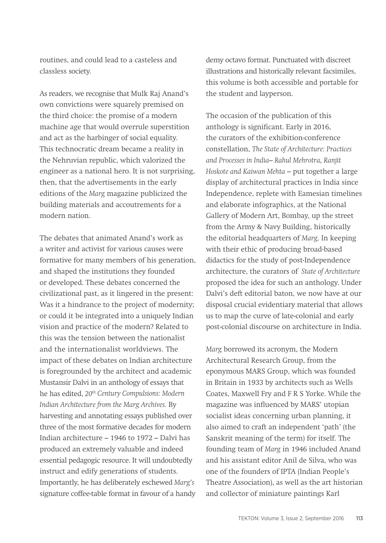routines, and could lead to a casteless and classless society.

As readers, we recognise that Mulk Raj Anand's own convictions were squarely premised on the third choice: the promise of a modern machine age that would overrule superstition and act as the harbinger of social equality. This technocratic dream became a reality in the Nehruvian republic, which valorized the engineer as a national hero. It is not surprising, then, that the advertisements in the early editions of the *Marg* magazine publicized the building materials and accoutrements for a modern nation.

The debates that animated Anand's work as a writer and activist for various causes were formative for many members of his generation, and shaped the institutions they founded or developed. These debates concerned the civilizational past, as it lingered in the present: Was it a hindrance to the project of modernity; or could it be integrated into a uniquely Indian vision and practice of the modern? Related to this was the tension between the nationalist and the internationalist worldviews. The impact of these debates on Indian architecture is foregrounded by the architect and academic Mustansir Dalvi in an anthology of essays that he has edited, *20th Century Compulsions: Modern Indian Architecture from the Marg Archives.* By harvesting and annotating essays published over three of the most formative decades for modern Indian architecture – 1946 to 1972 – Dalvi has produced an extremely valuable and indeed essential pedagogic resource. It will undoubtedly instruct and edify generations of students. Importantly, he has deliberately eschewed *Marg's*  signature coffee-table format in favour of a handy demy octavo format. Punctuated with discreet illustrations and historically relevant facsimiles, this volume is both accessible and portable for the student and layperson.

The occasion of the publication of this anthology is significant. Early in 2016, the curators of the exhibition-conference constellation, *The State of Architecture: Practices and Processes in India– Rahul Mehrotra, Ranjit Hoskote and Kaiwan Mehta* – put together a large display of architectural practices in India since Independence, replete with Eamesian timelines and elaborate infographics, at the National Gallery of Modern Art, Bombay, up the street from the Army & Navy Building, historically the editorial headquarters of *Marg*. In keeping with their ethic of producing broad-based didactics for the study of post-Independence architecture, the curators of *State of Architecture* proposed the idea for such an anthology. Under Dalvi's deft editorial baton, we now have at our disposal crucial evidentiary material that allows us to map the curve of late-colonial and early post-colonial discourse on architecture in India.

*Marg* borrowed its acronym, the Modern Architectural Research Group, from the eponymous MARS Group, which was founded in Britain in 1933 by architects such as Wells Coates, Maxwell Fry and F R S Yorke. While the magazine was influenced by MARS' utopian socialist ideas concerning urban planning, it also aimed to craft an independent 'path' (the Sanskrit meaning of the term) for itself. The founding team of *Marg* in 1946 included Anand and his assistant editor Anil de Silva, who was one of the founders of IPTA (Indian People's Theatre Association), as well as the art historian and collector of miniature paintings Karl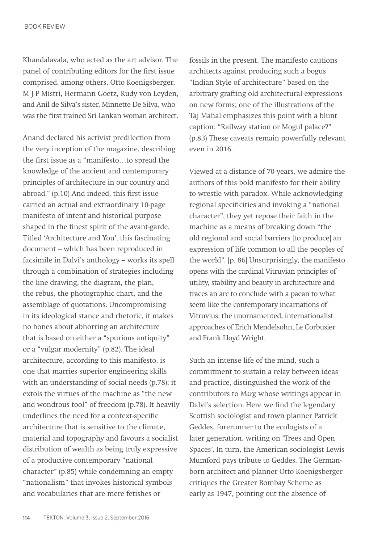Khandalavala, who acted as the art advisor. The panel of contributing editors for the first issue comprised, among others, Otto Koenigsberger, M J P Mistri, Hermann Goetz, Rudy von Leyden, and Anil de Silva's sister, Minnette De Silva, who was the first trained Sri Lankan woman architect.

Anand declared his activist predilection from the very inception of the magazine, describing the first issue as a "manifesto…to spread the knowledge of the ancient and contemporary principles of architecture in our country and abroad." (p.10) And indeed, this first issue carried an actual and extraordinary 10-page manifesto of intent and historical purpose shaped in the finest spirit of the avant-garde. Titled 'Architecture and You', this fascinating document – which has been reproduced in facsimile in Dalvi's anthology – works its spell through a combination of strategies including the line drawing, the diagram, the plan, the rebus, the photographic chart, and the assemblage of quotations. Uncompromising in its ideological stance and rhetoric, it makes no bones about abhorring an architecture that is based on either a "spurious antiquity" or a "vulgar modernity" (p.82). The ideal architecture, according to this manifesto, is one that marries superior engineering skills with an understanding of social needs (p.78); it extols the virtues of the machine as "the new and wondrous tool" of freedom (p.78). It heavily underlines the need for a context-specific architecture that is sensitive to the climate, material and topography and favours a socialist distribution of wealth as being truly expressive of a productive contemporary "national character" (p.85) while condemning an empty "nationalism" that invokes historical symbols and vocabularies that are mere fetishes or

fossils in the present. The manifesto cautions architects against producing such a bogus "Indian Style of architecture" based on the arbitrary grafting old architectural expressions on new forms; one of the illustrations of the Taj Mahal emphasizes this point with a blunt caption: "Railway station or Mogul palace?" (p.83) These caveats remain powerfully relevant even in 2016.

Viewed at a distance of 70 years, we admire the authors of this bold manifesto for their ability to wrestle with paradox. While acknowledging regional specificities and invoking a "national character", they yet repose their faith in the machine as a means of breaking down "the old regional and social barriers [to produce] an expression of life common to all the peoples of the world". [p. 86] Unsurprisingly, the manifesto opens with the cardinal Vitruvian principles of utility, stability and beauty in architecture and traces an arc to conclude with a paean to what seem like the contemporary incarnations of Vitruvius: the unornamented, internationalist approaches of Erich Mendelsohn, Le Corbusier and Frank Lloyd Wright.

Such an intense life of the mind, such a commitment to sustain a relay between ideas and practice, distinguished the work of the contributors to *Marg* whose writings appear in Dalvi's selection. Here we find the legendary Scottish sociologist and town planner Patrick Geddes, forerunner to the ecologists of a later generation, writing on 'Trees and Open Spaces'. In turn, the American sociologist Lewis Mumford pays tribute to Geddes. The Germanborn architect and planner Otto Koenigsberger critiques the Greater Bombay Scheme as early as 1947, pointing out the absence of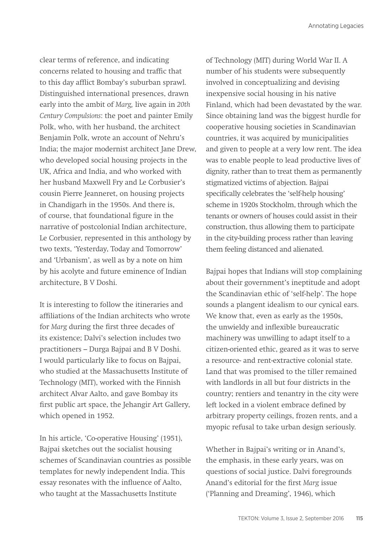clear terms of reference, and indicating concerns related to housing and traffic that to this day afflict Bombay's suburban sprawl. Distinguished international presences, drawn early into the ambit of *Marg,* live again in *20th Century Compulsions*: the poet and painter Emily Polk, who, with her husband, the architect Benjamin Polk, wrote an account of Nehru's India; the major modernist architect Jane Drew, who developed social housing projects in the UK, Africa and India, and who worked with her husband Maxwell Fry and Le Corbusier's cousin Pierre Jeanneret, on housing projects in Chandigarh in the 1950s. And there is, of course, that foundational figure in the narrative of postcolonial Indian architecture, Le Corbusier, represented in this anthology by two texts, 'Yesterday, Today and Tomorrow' and 'Urbanism', as well as by a note on him by his acolyte and future eminence of Indian architecture, B V Doshi.

It is interesting to follow the itineraries and affiliations of the Indian architects who wrote for *Marg* during the first three decades of its existence; Dalvi's selection includes two practitioners – Durga Bajpai and B V Doshi. I would particularly like to focus on Bajpai, who studied at the Massachusetts Institute of Technology (MIT), worked with the Finnish architect Alvar Aalto, and gave Bombay its first public art space, the Jehangir Art Gallery, which opened in 1952.

In his article, 'Co-operative Housing' (1951), Bajpai sketches out the socialist housing schemes of Scandinavian countries as possible templates for newly independent India. This essay resonates with the influence of Aalto, who taught at the Massachusetts Institute

of Technology (MIT) during World War II. A number of his students were subsequently involved in conceptualizing and devising inexpensive social housing in his native Finland, which had been devastated by the war. Since obtaining land was the biggest hurdle for cooperative housing societies in Scandinavian countries, it was acquired by municipalities and given to people at a very low rent. The idea was to enable people to lead productive lives of dignity, rather than to treat them as permanently stigmatized victims of abjection. Bajpai specifically celebrates the 'self-help housing' scheme in 1920s Stockholm, through which the tenants or owners of houses could assist in their construction, thus allowing them to participate in the city-building process rather than leaving them feeling distanced and alienated.

Bajpai hopes that Indians will stop complaining about their government's ineptitude and adopt the Scandinavian ethic of 'self-help'. The hope sounds a plangent idealism to our cynical ears. We know that, even as early as the 1950s, the unwieldy and inflexible bureaucratic machinery was unwilling to adapt itself to a citizen-oriented ethic, geared as it was to serve a resource- and rent-extractive colonial state. Land that was promised to the tiller remained with landlords in all but four districts in the country; rentiers and tenantry in the city were left locked in a violent embrace defined by arbitrary property ceilings, frozen rents, and a myopic refusal to take urban design seriously.

Whether in Bajpai's writing or in Anand's, the emphasis, in these early years, was on questions of social justice. Dalvi foregrounds Anand's editorial for the first *Marg* issue ('Planning and Dreaming', 1946), which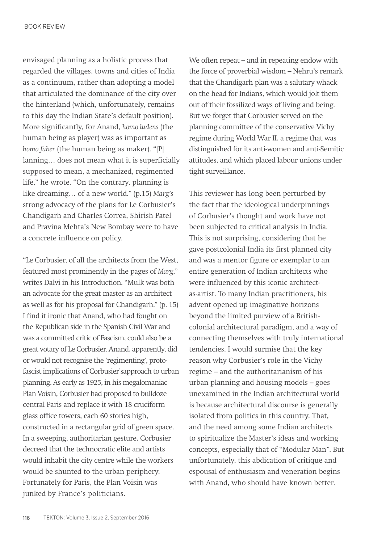envisaged planning as a holistic process that regarded the villages, towns and cities of India as a continuum, rather than adopting a model that articulated the dominance of the city over the hinterland (which, unfortunately, remains to this day the Indian State's default position). More significantly, for Anand, *homo ludens* (the human being as player) was as important as *homo faber* (the human being as maker). "[P] lanning… does not mean what it is superficially supposed to mean, a mechanized, regimented life," he wrote. "On the contrary, planning is like dreaming… of a new world." (p.15) *Marg's* strong advocacy of the plans for Le Corbusier's Chandigarh and Charles Correa, Shirish Patel and Pravina Mehta's New Bombay were to have a concrete influence on policy.

"Le Corbusier, of all the architects from the West, featured most prominently in the pages of *Marg*," writes Dalvi in his Introduction. "Mulk was both an advocate for the great master as an architect as well as for his proposal for Chandigarh." (p. 15) I find it ironic that Anand, who had fought on the Republican side in the Spanish Civil War and was a committed critic of Fascism, could also be a great votary of Le Corbusier. Anand, apparently, did or would not recognise the 'regimenting', protofascist implications of Corbusier'sapproach to urban planning. As early as 1925, in his megalomaniac Plan Voisin, Corbusier had proposed to bulldoze central Paris and replace it with 18 cruciform glass office towers, each 60 stories high, constructed in a rectangular grid of green space. In a sweeping, authoritarian gesture, Corbusier decreed that the technocratic elite and artists would inhabit the city centre while the workers would be shunted to the urban periphery. Fortunately for Paris, the Plan Voisin was junked by France's politicians.

We often repeat – and in repeating endow with the force of proverbial wisdom – Nehru's remark that the Chandigarh plan was a salutary whack on the head for Indians, which would jolt them out of their fossilized ways of living and being. But we forget that Corbusier served on the planning committee of the conservative Vichy regime during World War II, a regime that was distinguished for its anti-women and anti-Semitic attitudes, and which placed labour unions under tight surveillance.

This reviewer has long been perturbed by the fact that the ideological underpinnings of Corbusier's thought and work have not been subjected to critical analysis in India. This is not surprising, considering that he gave postcolonial India its first planned city and was a mentor figure or exemplar to an entire generation of Indian architects who were influenced by this iconic architectas-artist. To many Indian practitioners, his advent opened up imaginative horizons beyond the limited purview of a Britishcolonial architectural paradigm, and a way of connecting themselves with truly international tendencies. I would surmise that the key reason why Corbusier's role in the Vichy regime – and the authoritarianism of his urban planning and housing models – goes unexamined in the Indian architectural world is because architectural discourse is generally isolated from politics in this country. That, and the need among some Indian architects to spiritualize the Master's ideas and working concepts, especially that of "Modular Man". But unfortunately, this abdication of critique and espousal of enthusiasm and veneration begins with Anand, who should have known better.